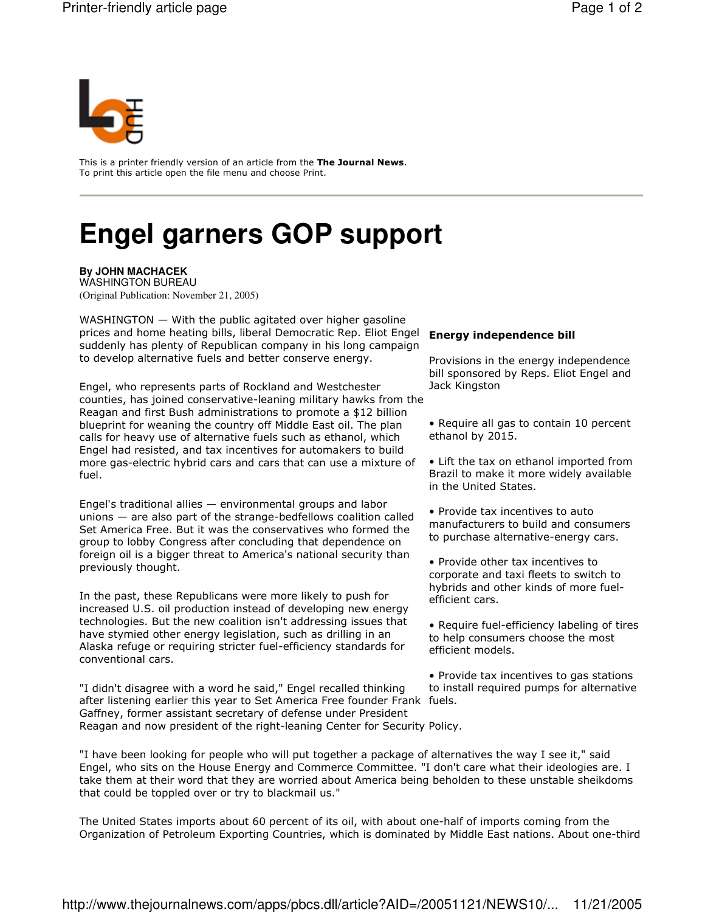

This is a printer friendly version of an article from the The Journal News. To print this article open the file menu and choose Print.

## **Engel garners GOP support**

**By JOHN MACHACEK** 

**WASHINGTON BUREAU** (Original Publication: November 21, 2005)

WASHINGTON - With the public agitated over higher gasoline prices and home heating bills, liberal Democratic Rep. Eliot Engel Energy independence bill suddenly has plenty of Republican company in his long campaign to develop alternative fuels and better conserve energy.

Engel, who represents parts of Rockland and Westchester counties, has joined conservative-leaning military hawks from the Reagan and first Bush administrations to promote a \$12 billion blueprint for weaning the country off Middle East oil. The plan calls for heavy use of alternative fuels such as ethanol, which Engel had resisted, and tax incentives for automakers to build more gas-electric hybrid cars and cars that can use a mixture of fuel.

Engel's traditional allies - environmental groups and labor unions  $-$  are also part of the strange-bedfellows coalition called Set America Free. But it was the conservatives who formed the group to lobby Congress after concluding that dependence on foreign oil is a bigger threat to America's national security than previously thought.

In the past, these Republicans were more likely to push for increased U.S. oil production instead of developing new energy technologies. But the new coalition isn't addressing issues that have stymied other energy legislation, such as drilling in an Alaska refuge or requiring stricter fuel-efficiency standards for conventional cars.

"I didn't disagree with a word he said," Engel recalled thinking after listening earlier this year to Set America Free founder Frank fuels. Gaffney, former assistant secretary of defense under President Reagan and now president of the right-leaning Center for Security Policy.

Provisions in the energy independence bill sponsored by Reps. Eliot Engel and Jack Kingston

• Require all gas to contain 10 percent ethanol by 2015.

• Lift the tax on ethanol imported from Brazil to make it more widely available in the United States.

• Provide tax incentives to auto manufacturers to build and consumers to purchase alternative-energy cars.

• Provide other tax incentives to corporate and taxi fleets to switch to hybrids and other kinds of more fuelefficient cars.

• Require fuel-efficiency labeling of tires to help consumers choose the most efficient models.

• Provide tax incentives to gas stations to install required pumps for alternative

"I have been looking for people who will put together a package of alternatives the way I see it," said Engel, who sits on the House Energy and Commerce Committee. "I don't care what their ideologies are. I take them at their word that they are worried about America being beholden to these unstable sheikdoms that could be toppled over or try to blackmail us."

The United States imports about 60 percent of its oil, with about one-half of imports coming from the Organization of Petroleum Exporting Countries, which is dominated by Middle East nations. About one-third